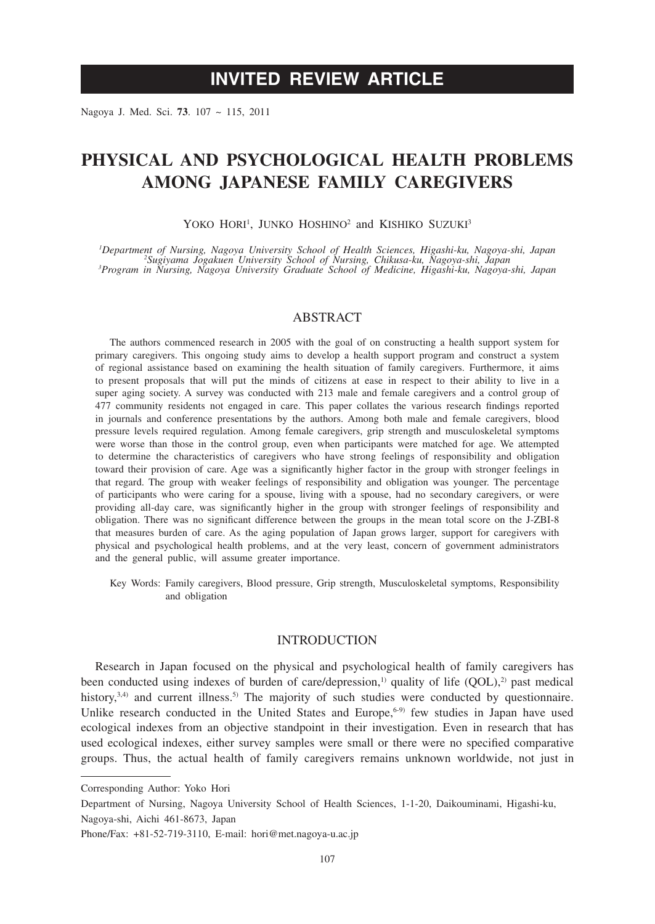# **INVITED REVIEW ARTICLE**

Nagoya J. Med. Sci. **73**. 107 ~ 115, 2011

# **PHYSICAL AND PSYCHOLOGICAL HEALTH PROBLEMS AMONG JAPANESE FAMILY CAREGIVERS**

YOKO HORI<sup>1</sup>, JUNKO HOSHINO<sup>2</sup> and KISHIKO SUZUKI<sup>3</sup>

<sup>1</sup>Department of Nursing, Nagoya University School of Health Sciences, Higashi-ku, Nagoya-shi, Japan <sup>1</sup>Department of Nursing, Nagoya University School of Health Sciences, Higashi-ku, Nagoya-shi, Japan<br><sup>2</sup>Sugiyama Jogakuen University School of Nursing, Chikusa-ku, Nagoya-shi, Japan<br><sup>3</sup>Program in Nursing, Nagoya University

## **ABSTRACT**

The authors commenced research in 2005 with the goal of on constructing a health support system for primary caregivers. This ongoing study aims to develop a health support program and construct a system of regional assistance based on examining the health situation of family caregivers. Furthermore, it aims to present proposals that will put the minds of citizens at ease in respect to their ability to live in a super aging society. A survey was conducted with 213 male and female caregivers and a control group of 477 community residents not engaged in care. This paper collates the various research findings reported in journals and conference presentations by the authors. Among both male and female caregivers, blood pressure levels required regulation. Among female caregivers, grip strength and musculoskeletal symptoms were worse than those in the control group, even when participants were matched for age. We attempted to determine the characteristics of caregivers who have strong feelings of responsibility and obligation toward their provision of care. Age was a significantly higher factor in the group with stronger feelings in that regard. The group with weaker feelings of responsibility and obligation was younger. The percentage of participants who were caring for a spouse, living with a spouse, had no secondary caregivers, or were providing all-day care, was significantly higher in the group with stronger feelings of responsibility and obligation. There was no significant difference between the groups in the mean total score on the J-ZBI-8 that measures burden of care. As the aging population of Japan grows larger, support for caregivers with physical and psychological health problems, and at the very least, concern of government administrators and the general public, will assume greater importance.

Key Words: Family caregivers, Blood pressure, Grip strength, Musculoskeletal symptoms, Responsibility and obligation

## **INTRODUCTION**

Research in Japan focused on the physical and psychological health of family caregivers has been conducted using indexes of burden of care/depression,<sup>1)</sup> quality of life  $(QOL)$ ,<sup>2)</sup> past medical history, $3,4$ ) and current illness.<sup>5)</sup> The majority of such studies were conducted by questionnaire. Unlike research conducted in the United States and Europe,<sup> $6-9)$ </sup> few studies in Japan have used ecological indexes from an objective standpoint in their investigation. Even in research that has used ecological indexes, either survey samples were small or there were no specified comparative groups. Thus, the actual health of family caregivers remains unknown worldwide, not just in

Corresponding Author: Yoko Hori

Department of Nursing, Nagoya University School of Health Sciences, 1-1-20, Daikouminami, Higashi-ku, Nagoya-shi, Aichi 461-8673, Japan

Phone/Fax: +81-52-719-3110, E-mail: hori@met.nagoya-u.ac.jp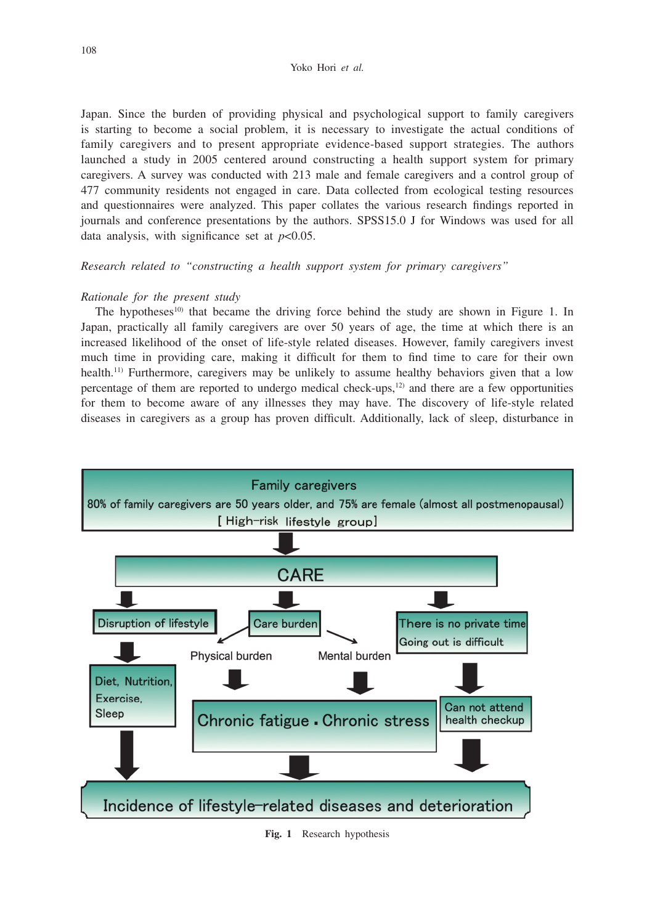Japan. Since the burden of providing physical and psychological support to family caregivers is starting to become a social problem, it is necessary to investigate the actual conditions of family caregivers and to present appropriate evidence-based support strategies. The authors launched a study in 2005 centered around constructing a health support system for primary caregivers. A survey was conducted with 213 male and female caregivers and a control group of 477 community residents not engaged in care. Data collected from ecological testing resources and questionnaires were analyzed. This paper collates the various research findings reported in journals and conference presentations by the authors. SPSS15.0 J for Windows was used for all data analysis, with significance set at  $p<0.05$ .

*Research related to "constructing a health support system for primary caregivers"*

## *Rationale for the present study*

The hypotheses<sup>10)</sup> that became the driving force behind the study are shown in Figure 1. In Japan, practically all family caregivers are over 50 years of age, the time at which there is an increased likelihood of the onset of life-style related diseases. However, family caregivers invest much time in providing care, making it difficult for them to find time to care for their own health.<sup>11)</sup> Furthermore, caregivers may be unlikely to assume healthy behaviors given that a low percentage of them are reported to undergo medical check-ups, $12$ ) and there are a few opportunities for them to become aware of any illnesses they may have. The discovery of life-style related diseases in caregivers as a group has proven difficult. Additionally, lack of sleep, disturbance in



**Fig. 1** Research hypothesis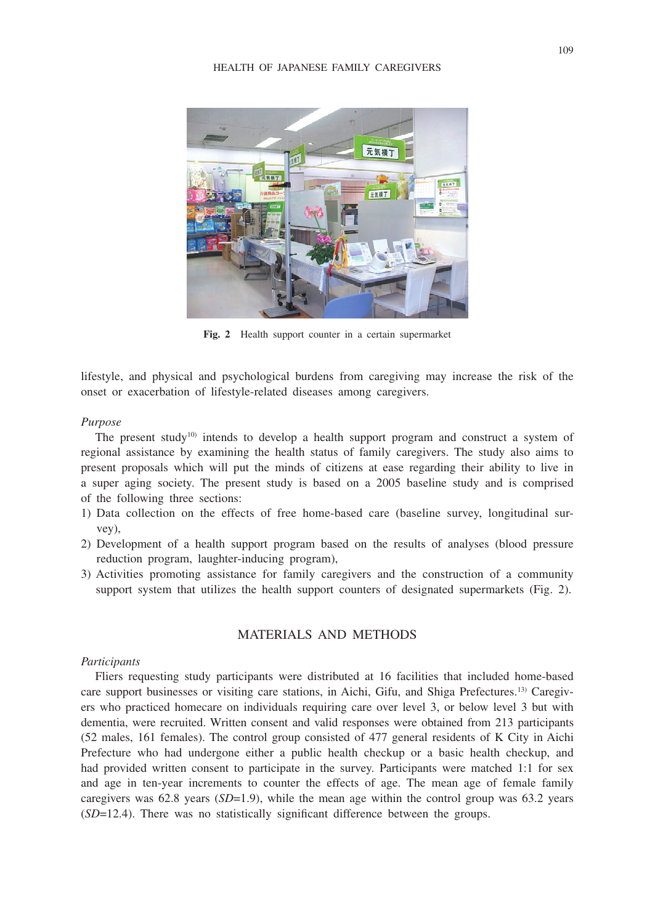

**Fig. 2** Health support counter in a certain supermarket

lifestyle, and physical and psychological burdens from caregiving may increase the risk of the onset or exacerbation of lifestyle-related diseases among caregivers.

#### *Purpose*

The present study<sup>10)</sup> intends to develop a health support program and construct a system of regional assistance by examining the health status of family caregivers. The study also aims to present proposals which will put the minds of citizens at ease regarding their ability to live in a super aging society. The present study is based on a 2005 baseline study and is comprised of the following three sections:

- 1) Data collection on the effects of free home-based care (baseline survey, longitudinal survey),
- 2) Development of a health support program based on the results of analyses (blood pressure reduction program, laughter-inducing program),
- 3) Activities promoting assistance for family caregivers and the construction of a community support system that utilizes the health support counters of designated supermarkets (Fig. 2).

## MATERIALS AND METHODS

#### *Participants*

Fliers requesting study participants were distributed at 16 facilities that included home-based care support businesses or visiting care stations, in Aichi, Gifu, and Shiga Prefectures.<sup>13)</sup> Caregivers who practiced homecare on individuals requiring care over level 3, or below level 3 but with dementia, were recruited. Written consent and valid responses were obtained from 213 participants (52 males, 161 females). The control group consisted of 477 general residents of K City in Aichi Prefecture who had undergone either a public health checkup or a basic health checkup, and had provided written consent to participate in the survey. Participants were matched 1:1 for sex and age in ten-year increments to counter the effects of age. The mean age of female family caregivers was 62.8 years (*SD*=1.9), while the mean age within the control group was 63.2 years (*SD*=12.4). There was no statistically significant difference between the groups.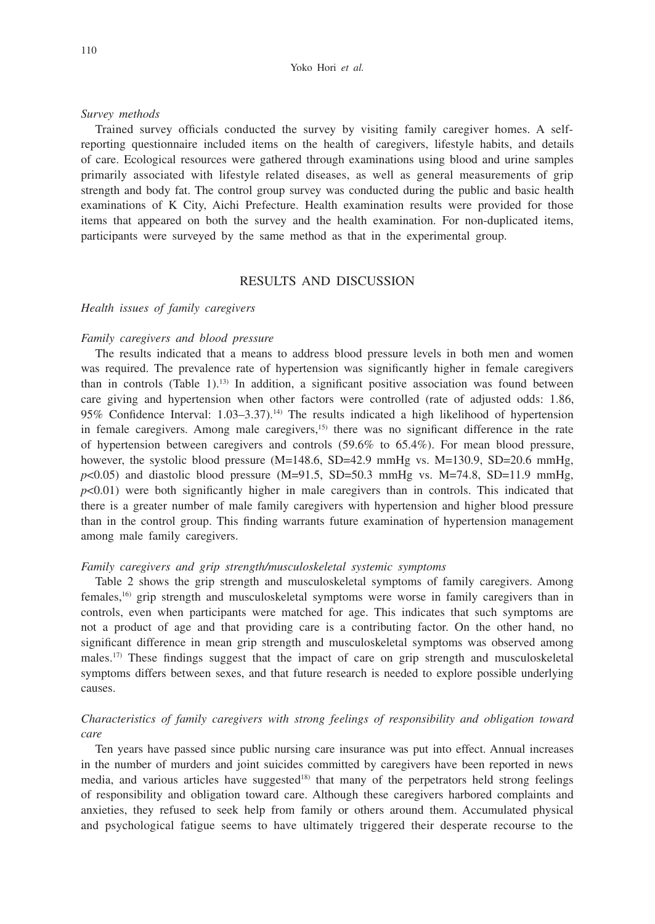#### *Survey methods*

Trained survey officials conducted the survey by visiting family caregiver homes. A selfreporting questionnaire included items on the health of caregivers, lifestyle habits, and details of care. Ecological resources were gathered through examinations using blood and urine samples primarily associated with lifestyle related diseases, as well as general measurements of grip strength and body fat. The control group survey was conducted during the public and basic health examinations of K City, Aichi Prefecture. Health examination results were provided for those items that appeared on both the survey and the health examination. For non-duplicated items, participants were surveyed by the same method as that in the experimental group.

## RESULTS AND DISCUSSION

#### *Health issues of family caregivers*

#### *Family caregivers and blood pressure*

The results indicated that a means to address blood pressure levels in both men and women was required. The prevalence rate of hypertension was significantly higher in female caregivers than in controls (Table 1).<sup>13)</sup> In addition, a significant positive association was found between care giving and hypertension when other factors were controlled (rate of adjusted odds: 1.86, 95% Confidence Interval:  $1.03-3.37$ ).<sup>14</sup> The results indicated a high likelihood of hypertension in female caregivers. Among male caregivers, $15$  there was no significant difference in the rate of hypertension between caregivers and controls (59.6% to 65.4%). For mean blood pressure, however, the systolic blood pressure  $(M=148.6, SD=42.9 \text{ mmHg}$  vs.  $M=130.9, SD=20.6 \text{ mmHg}$ ,  $p$ <0.05) and diastolic blood pressure (M=91.5, SD=50.3 mmHg vs. M=74.8, SD=11.9 mmHg, *p*<0.01) were both significantly higher in male caregivers than in controls. This indicated that there is a greater number of male family caregivers with hypertension and higher blood pressure than in the control group. This finding warrants future examination of hypertension management among male family caregivers.

#### *Family caregivers and grip strength/musculoskeletal systemic symptoms*

Table 2 shows the grip strength and musculoskeletal symptoms of family caregivers. Among females,<sup>16)</sup> grip strength and musculoskeletal symptoms were worse in family caregivers than in controls, even when participants were matched for age. This indicates that such symptoms are not a product of age and that providing care is a contributing factor. On the other hand, no significant difference in mean grip strength and musculoskeletal symptoms was observed among males.<sup>17)</sup> These findings suggest that the impact of care on grip strength and musculoskeletal symptoms differs between sexes, and that future research is needed to explore possible underlying causes.

## *Characteristics of family caregivers with strong feelings of responsibility and obligation toward care*

Ten years have passed since public nursing care insurance was put into effect. Annual increases in the number of murders and joint suicides committed by caregivers have been reported in news media, and various articles have suggested<sup>18)</sup> that many of the perpetrators held strong feelings of responsibility and obligation toward care. Although these caregivers harbored complaints and anxieties, they refused to seek help from family or others around them. Accumulated physical and psychological fatigue seems to have ultimately triggered their desperate recourse to the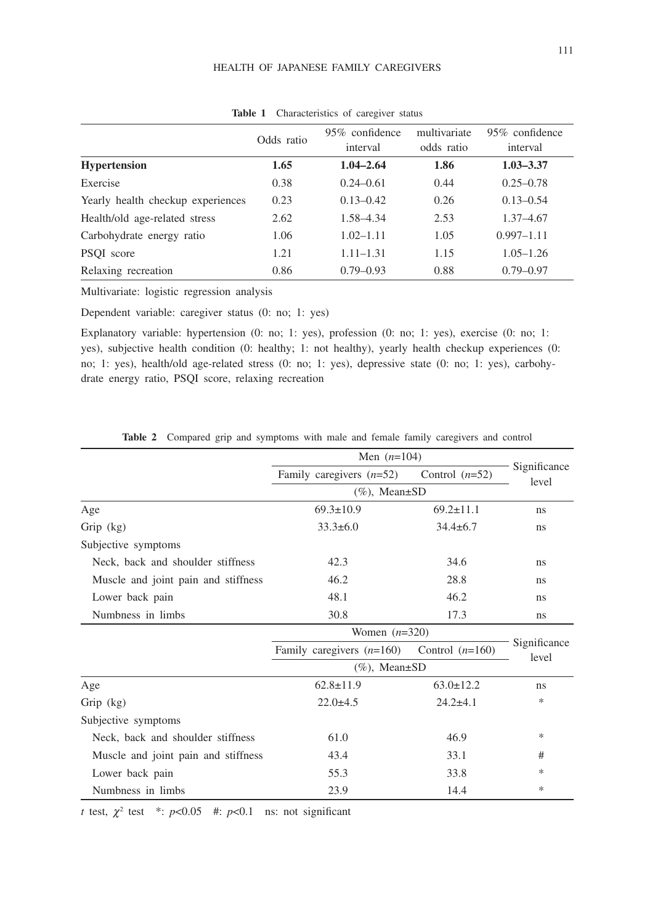#### HEALTH OF JAPANESE FAMILY CAREGIVERS

|                                   | Odds ratio | 95% confidence<br>interval | multivariate<br>odds ratio | 95% confidence<br>interval |
|-----------------------------------|------------|----------------------------|----------------------------|----------------------------|
| <b>Hypertension</b>               | 1.65       | $1.04 - 2.64$              | 1.86                       | $1.03 - 3.37$              |
| Exercise                          | 0.38       | $0.24 - 0.61$              | 0.44                       | $0.25 - 0.78$              |
| Yearly health checkup experiences | 0.23       | $0.13 - 0.42$              | 0.26                       | $0.13 - 0.54$              |
| Health/old age-related stress     | 2.62       | 1.58-4.34                  | 2.53                       | $1.37 - 4.67$              |
| Carbohydrate energy ratio         | 1.06       | $1.02 - 1.11$              | 1.05                       | $0.997 - 1.11$             |
| PSOI score                        | 1.21       | $1.11 - 1.31$              | 1.15                       | $1.05 - 1.26$              |
| Relaxing recreation               | 0.86       | $0.79 - 0.93$              | 0.88                       | $0.79 - 0.97$              |

**Table 1** Characteristics of caregiver status

Multivariate: logistic regression analysis

Dependent variable: caregiver status (0: no; 1: yes)

Explanatory variable: hypertension (0: no; 1: yes), profession (0: no; 1: yes), exercise (0: no; 1: yes), subjective health condition (0: healthy; 1: not healthy), yearly health checkup experiences (0: no; 1: yes), health/old age-related stress (0: no; 1: yes), depressive state (0: no; 1: yes), carbohydrate energy ratio, PSQI score, relaxing recreation

|                                     | Men $(n=104)$               |                   |                       |  |
|-------------------------------------|-----------------------------|-------------------|-----------------------|--|
|                                     | Family caregivers $(n=52)$  | Control $(n=52)$  | Significance<br>level |  |
|                                     | $(\%),$ Mean $\pm$ SD       |                   |                       |  |
| Age                                 | $69.3 \pm 10.9$             | $69.2 \pm 11.1$   | ns                    |  |
| Grip (kg)                           | $33.3 \pm 6.0$              | $34.4 \pm 6.7$    | ns                    |  |
| Subjective symptoms                 |                             |                   |                       |  |
| Neck, back and shoulder stiffness   | 42.3                        | 34.6              | ns                    |  |
| Muscle and joint pain and stiffness | 46.2                        | 28.8              | ns                    |  |
| Lower back pain                     | 48.1                        | 46.2              | ns                    |  |
| Numbness in limbs                   | 30.8                        | 17.3              | ns                    |  |
|                                     | Women $(n=320)$             |                   |                       |  |
|                                     | Family caregivers $(n=160)$ | Control $(n=160)$ | Significance<br>level |  |
|                                     | $(\%),$ Mean $\pm$ SD       |                   |                       |  |
| Age                                 | $62.8 \pm 11.9$             | $63.0 \pm 12.2$   | ns                    |  |
| Grip $(kg)$                         | $22.0 + 4.5$                | $24.2 + 4.1$      | *                     |  |
| Subjective symptoms                 |                             |                   |                       |  |
| Neck, back and shoulder stiffness   | 61.0                        | 46.9              | $\ast$                |  |
| Muscle and joint pain and stiffness | 43.4                        | 33.1              | #                     |  |
| Lower back pain                     | 55.3                        | 33.8              | *                     |  |
| Numbness in limbs                   | 23.9                        | 14.4              | *                     |  |

**Table 2** Compared grip and symptoms with male and female family caregivers and control

*t* test,  $\chi^2$  test \*:  $p<0.05$  #:  $p<0.1$  ns: not significant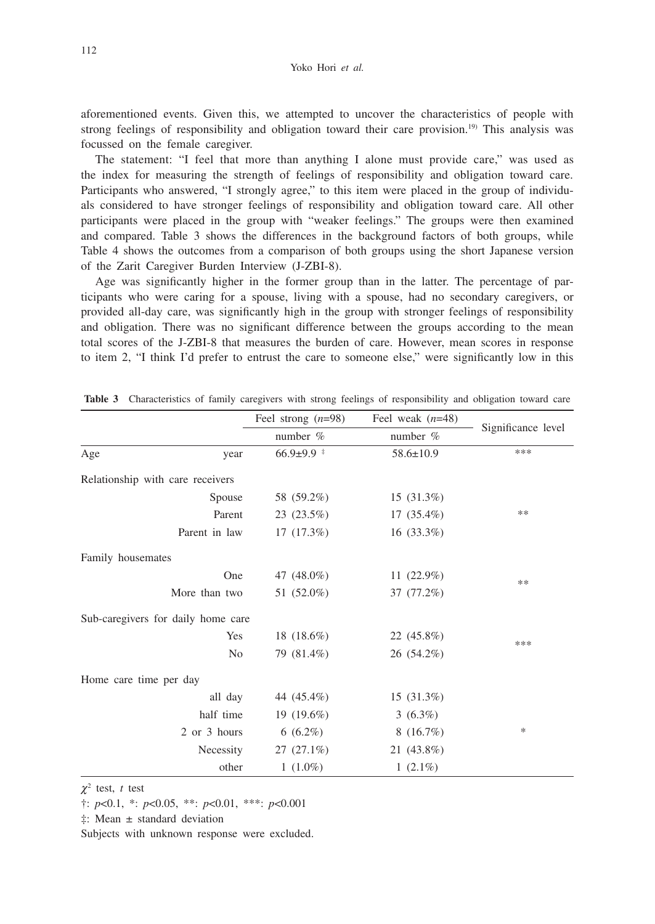aforementioned events. Given this, we attempted to uncover the characteristics of people with strong feelings of responsibility and obligation toward their care provision.<sup>19)</sup> This analysis was focussed on the female caregiver.

The statement: "I feel that more than anything I alone must provide care," was used as the index for measuring the strength of feelings of responsibility and obligation toward care. Participants who answered, "I strongly agree," to this item were placed in the group of individuals considered to have stronger feelings of responsibility and obligation toward care. All other participants were placed in the group with "weaker feelings." The groups were then examined and compared. Table 3 shows the differences in the background factors of both groups, while Table 4 shows the outcomes from a comparison of both groups using the short Japanese version of the Zarit Caregiver Burden Interview (J-ZBI-8).

Age was significantly higher in the former group than in the latter. The percentage of participants who were caring for a spouse, living with a spouse, had no secondary caregivers, or provided all-day care, was significantly high in the group with stronger feelings of responsibility and obligation. There was no significant difference between the groups according to the mean total scores of the J-ZBI-8 that measures the burden of care. However, mean scores in response to item 2, "I think I'd prefer to entrust the care to someone else," were significantly low in this

|                                    | Feel strong $(n=98)$ | Feel weak $(n=48)$ |                    |  |
|------------------------------------|----------------------|--------------------|--------------------|--|
|                                    | number $%$           | number $%$         | Significance level |  |
| Age<br>year                        | $66.9 \pm 9.9$ *     | $58.6 \pm 10.9$    | ***                |  |
| Relationship with care receivers   |                      |                    |                    |  |
| Spouse                             | 58 (59.2%)           | 15 (31.3%)         |                    |  |
| Parent                             | 23 (23.5%)           | $17(35.4\%)$       | **                 |  |
| Parent in law                      | 17(17.3%)            | $16(33.3\%)$       |                    |  |
| Family housemates                  |                      |                    |                    |  |
| One                                | 47 (48.0%)           | 11 $(22.9\%)$      | **                 |  |
| More than two                      | 51 (52.0%)           | 37 (77.2%)         |                    |  |
| Sub-caregivers for daily home care |                      |                    |                    |  |
| Yes                                | 18 $(18.6\%)$        | 22 (45.8%)         | ***                |  |
| N <sub>0</sub>                     | 79 (81.4%)           | 26 (54.2%)         |                    |  |
| Home care time per day             |                      |                    |                    |  |
| all day                            | 44 (45.4%)           | $15(31.3\%)$       |                    |  |
| half time                          | 19 $(19.6%)$         | $3(6.3\%)$         |                    |  |
| 2 or 3 hours                       | $6(6.2\%)$           | 8(16.7%)           | $\ast$             |  |
| Necessity                          | $27(27.1\%)$         | 21 (43.8%)         |                    |  |
| other                              | $1(1.0\%)$           | 1 $(2.1\%)$        |                    |  |

**Table 3** Characteristics of family caregivers with strong feelings of responsibility and obligation toward care

 $\chi^2$  test, *t* test

†: *p*<0.1, \*: *p*<0.05, \*\*: *p*<0.01, \*\*\*: *p*<0.001

‡: Mean ± standard deviation

Subjects with unknown response were excluded.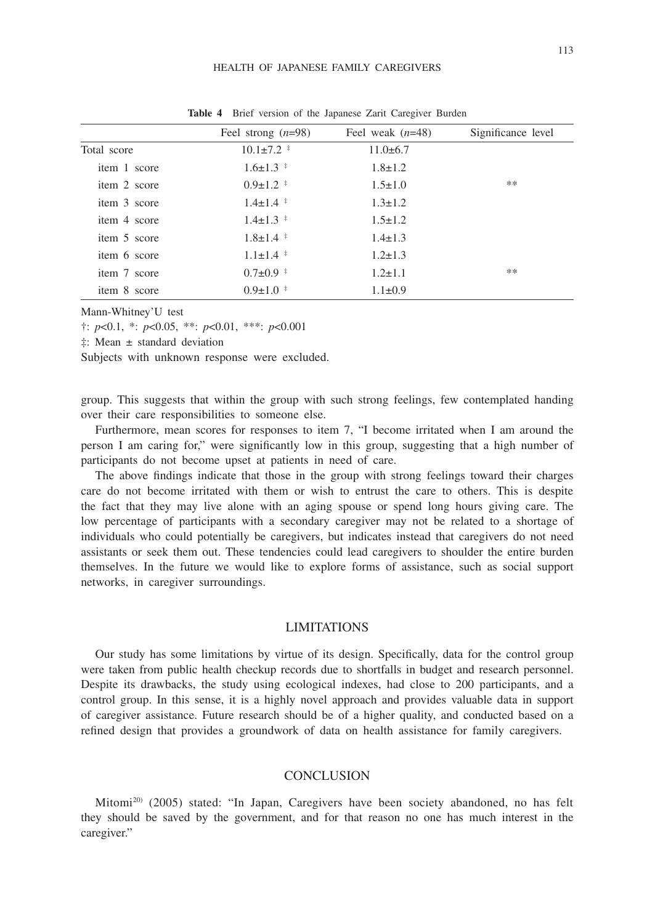#### HEALTH OF JAPANESE FAMILY CAREGIVERS

|              | Feel strong $(n=98)$ | Feel weak $(n=48)$ | Significance level |  |
|--------------|----------------------|--------------------|--------------------|--|
| Total score  | $10.1 \pm 7.2$ *     | $11.0\pm 6.7$      |                    |  |
| item 1 score | $1.6 \pm 1.3$ $\pm$  | $1.8 \pm 1.2$      |                    |  |
| item 2 score | $0.9 \pm 1.2$ *      | $1.5 \pm 1.0$      | **                 |  |
| item 3 score | $1.4 \pm 1.4$ $*$    | $1.3 \pm 1.2$      |                    |  |
| item 4 score | $1.4 \pm 1.3$ $*$    | $1.5 \pm 1.2$      |                    |  |
| item 5 score | $1.8 \pm 1.4$ *      | $1.4 \pm 1.3$      |                    |  |
| item 6 score | $1.1 \pm 1.4$ $*$    | $1.2 \pm 1.3$      |                    |  |
| item 7 score | $0.7 \pm 0.9$ *      | $1.2 \pm 1.1$      | **                 |  |
| item 8 score | $0.9 \pm 1.0$ *      | $1.1 \pm 0.9$      |                    |  |

**Table 4** Brief version of the Japanese Zarit Caregiver Burden

Mann-Whitney'U test

†: *p*<0.1, \*: *p*<0.05, \*\*: *p*<0.01, \*\*\*: *p*<0.001

‡: Mean ± standard deviation

Subjects with unknown response were excluded.

group. This suggests that within the group with such strong feelings, few contemplated handing over their care responsibilities to someone else.

Furthermore, mean scores for responses to item 7, "I become irritated when I am around the person I am caring for," were significantly low in this group, suggesting that a high number of participants do not become upset at patients in need of care.

The above findings indicate that those in the group with strong feelings toward their charges care do not become irritated with them or wish to entrust the care to others. This is despite the fact that they may live alone with an aging spouse or spend long hours giving care. The low percentage of participants with a secondary caregiver may not be related to a shortage of individuals who could potentially be caregivers, but indicates instead that caregivers do not need assistants or seek them out. These tendencies could lead caregivers to shoulder the entire burden themselves. In the future we would like to explore forms of assistance, such as social support networks, in caregiver surroundings.

## LIMITATIONS

Our study has some limitations by virtue of its design. Specifically, data for the control group were taken from public health checkup records due to shortfalls in budget and research personnel. Despite its drawbacks, the study using ecological indexes, had close to 200 participants, and a control group. In this sense, it is a highly novel approach and provides valuable data in support of caregiver assistance. Future research should be of a higher quality, and conducted based on a refined design that provides a groundwork of data on health assistance for family caregivers.

### **CONCLUSION**

Mitomi20) (2005) stated: "In Japan, Caregivers have been society abandoned, no has felt they should be saved by the government, and for that reason no one has much interest in the caregiver."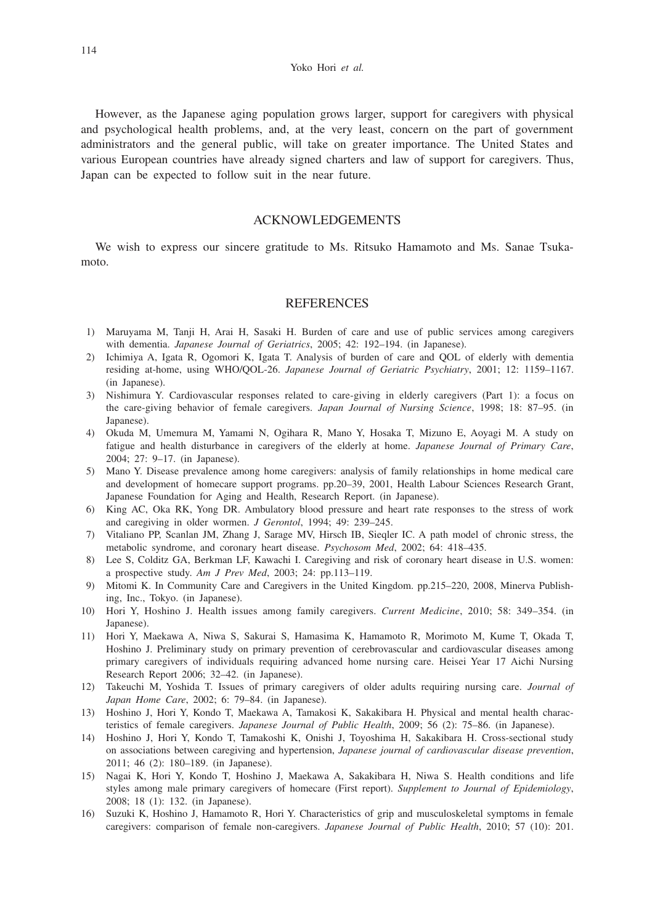However, as the Japanese aging population grows larger, support for caregivers with physical and psychological health problems, and, at the very least, concern on the part of government administrators and the general public, will take on greater importance. The United States and various European countries have already signed charters and law of support for caregivers. Thus, Japan can be expected to follow suit in the near future.

## ACKNOWLEDGEMENTS

We wish to express our sincere gratitude to Ms. Ritsuko Hamamoto and Ms. Sanae Tsukamoto.

## **REFERENCES**

- 1) Maruyama M, Tanji H, Arai H, Sasaki H. Burden of care and use of public services among caregivers with dementia. *Japanese Journal of Geriatrics*, 2005; 42: 192–194. (in Japanese).
- 2) Ichimiya A, Igata R, Ogomori K, Igata T. Analysis of burden of care and QOL of elderly with dementia residing at-home, using WHO/QOL-26. *Japanese Journal of Geriatric Psychiatry*, 2001; 12: 1159–1167. (in Japanese).
- 3) Nishimura Y. Cardiovascular responses related to care-giving in elderly caregivers (Part 1): a focus on the care-giving behavior of female caregivers. *Japan Journal of Nursing Science*, 1998; 18: 87–95. (in Japanese).
- 4) Okuda M, Umemura M, Yamami N, Ogihara R, Mano Y, Hosaka T, Mizuno E, Aoyagi M. A study on fatigue and health disturbance in caregivers of the elderly at home. *Japanese Journal of Primary Care*, 2004; 27: 9–17. (in Japanese).
- 5) Mano Y. Disease prevalence among home caregivers: analysis of family relationships in home medical care and development of homecare support programs. pp.20–39, 2001, Health Labour Sciences Research Grant, Japanese Foundation for Aging and Health, Research Report. (in Japanese).
- 6) King AC, Oka RK, Yong DR. Ambulatory blood pressure and heart rate responses to the stress of work and caregiving in older wormen. *J Gerontol*, 1994; 49: 239–245.
- 7) Vitaliano PP, Scanlan JM, Zhang J, Sarage MV, Hirsch IB, Sieqler IC. A path model of chronic stress, the metabolic syndrome, and coronary heart disease. *Psychosom Med*, 2002; 64: 418–435.
- 8) Lee S, Colditz GA, Berkman LF, Kawachi I. Caregiving and risk of coronary heart disease in U.S. women: a prospective study. *Am J Prev Med*, 2003; 24: pp.113–119.
- 9) Mitomi K. In Community Care and Caregivers in the United Kingdom. pp.215–220, 2008, Minerva Publishing, Inc., Tokyo. (in Japanese).
- 10) Hori Y, Hoshino J. Health issues among family caregivers. *Current Medicine*, 2010; 58: 349–354. (in Japanese).
- 11) Hori Y, Maekawa A, Niwa S, Sakurai S, Hamasima K, Hamamoto R, Morimoto M, Kume T, Okada T, Hoshino J. Preliminary study on primary prevention of cerebrovascular and cardiovascular diseases among primary caregivers of individuals requiring advanced home nursing care. Heisei Year 17 Aichi Nursing Research Report 2006; 32–42. (in Japanese).
- 12) Takeuchi M, Yoshida T. Issues of primary caregivers of older adults requiring nursing care. *Journal of Japan Home Care*, 2002; 6: 79–84. (in Japanese).
- 13) Hoshino J, Hori Y, Kondo T, Maekawa A, Tamakosi K, Sakakibara H. Physical and mental health characteristics of female caregivers. *Japanese Journal of Public Health*, 2009; 56 (2): 75–86. (in Japanese).
- 14) Hoshino J, Hori Y, Kondo T, Tamakoshi K, Onishi J, Toyoshima H, Sakakibara H. Cross-sectional study on associations between caregiving and hypertension, *Japanese journal of cardiovascular disease prevention*, 2011; 46 (2): 180–189. (in Japanese).
- 15) Nagai K, Hori Y, Kondo T, Hoshino J, Maekawa A, Sakakibara H, Niwa S. Health conditions and life styles among male primary caregivers of homecare (First report). *Supplement to Journal of Epidemiology*, 2008; 18 (1): 132. (in Japanese).
- 16) Suzuki K, Hoshino J, Hamamoto R, Hori Y. Characteristics of grip and musculoskeletal symptoms in female caregivers: comparison of female non-caregivers. *Japanese Journal of Public Health*, 2010; 57 (10): 201.